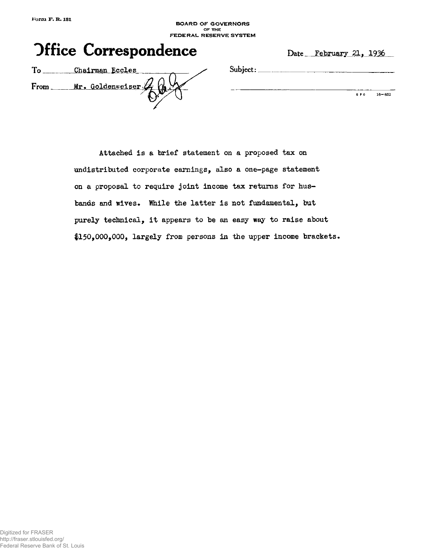**BOARD OF GOVERNORS or THE FEDERAL RESERVE SYSTEM** 



**Subject:** 

G P 0 16-852

|      | Chairman Eccles  |
|------|------------------|
| From | Mr. Goldenweiser |
|      |                  |

**Attached is a brief statement on a proposed tax on undistributed corporate earnings, also a one-page statement on a proposal to require joint income tax returns for husbands and wives. While the latter is not fundamental, but purely technical, it appears to be an easy way to raise about 1150,000,000, largely from persons in the upper income brackets.**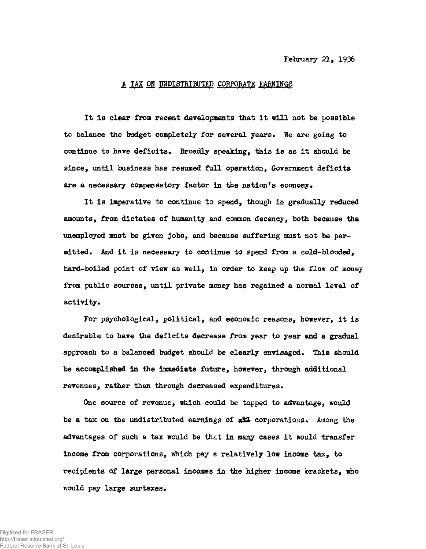## **A TAX OR UNDISTRIBUTED CORPORATE EARNINGS**

**It Is clear from recent developments that it will not be possible to balance the budget completely for several years. We are going to continue to have deficits. Broadly speaking, this is as it should be since, until business has resumed full operation, Government deficits are a necessary compensatory factor in the nation<sup>f</sup>s economy•** 

**It is imperative to continue to spend, though in gradually reduced amounts, from dictates of humanity and common decency, both because the unemployed must be given jobs, and because suffering mast not be permitted\* And it is necessary to continue to spend from a cold-blooded, hard-boiled point of view as well, in order to keep up the flow of money from public sources, until private money has regained a normal level of**  activity.

**For psychological, political, and economic reasons, however, it is desirable to have the deficits decrease from year to year and a gradual approach to a balanced budget should be clearly envisaged. This should be accomplished in the immediate future, however, through additional revenues, rather than through decreased expenditures.** 

**One source of revenue, which could be tapped to advantage, would**  be a tax on the undistributed earnings of  $d\mathcal{I}$  corporations. Among the **advantages of such a tax would be that in many cases it would transfer income from corporations, which pay a relatively low income tax, to recipients of large personal incomes in the higher income brackets, who would pay large surtaxes.**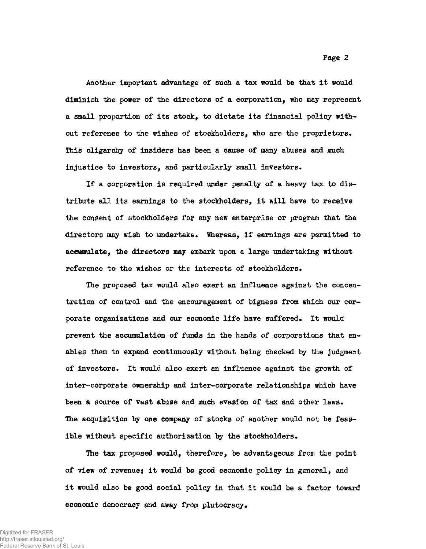**Another important advantage of such a tax would be that it would diminish the power of the directors of a corporation, who may represent a small proportion of its stock, to dictate its financial policy without reference to the wishes of stockholders, who are the proprietors\* This oligarchy of insiders has been a cause of many abuses and much injustice to investors, and particularly small investors.** 

**If a corporation is required under penalty of a heavy tax to distribute all its earnings to the stockholders, it will have to receive the consent of stockholders for any new enterprise or program that the**  directors may wish to undertake. Whereas, if earnings are permitted to **accumulate, the directors may embark upon a large undertaking without**  reference to the wishes or the interests of stockholders.

**The proposed tax would also exert an influence against the concentration of control and the encouragement of bigness from which our corporate organizations and our economic life have suffered. It would prevent the accumulation of funds in the hands of corporations that enables them to expand continuously without being checked by the judgment of investors\* It would also exert an influence against the growth of inter-corporate ownership and inter-corporate relationships which have been a source of vast abuse and much evasion of tax and other laws. The acquisition by one company of stocks of another would not be feasible without specific authorization by the stockholders.** 

**The tax proposed would, therefore, be advantageous from the point of view of revenuej it would be good economic policy in general, and it would also be good social policy in that it would be a factor toward**  economic democracy and away from plutocracy.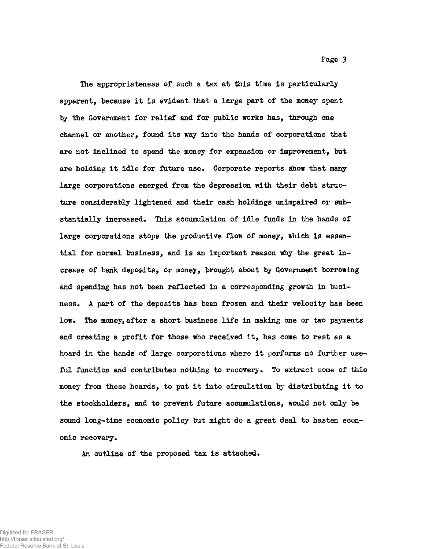**The appropriateness of such a tax at this time is particularly apparent, because it is evident that a large part of the money spent by the Government for relief and for public works has, through one channel or another, found its way into the hands of corporations that are not inclined to spend the money for expansion or improvement, but**  are holding it idle for future use. Corporate reports show that many **large corporations emerged from the depression with their debt structure considerably lightened and their cash holdings unimpaired or substantially increased. This accumulation of idle funds in the hands of large corporations stops the productive flow of money, which is essential for normal business, and is an important reason why the great increase of bank deposits, or money, brought about by Government borrowing and spending has not been reflected in a corresponding growth in business. A part of the deposits has been frozen and their velocity has been low. The money, after a short business life in making one or two payments and creating a profit for those who received it, has come to rest as a hoard in the hands of large corporations where it performs no further useful function and contributes nothing to recovery. To extract some of this money from these hoards, to put it into circulation by distributing it to the stockholders, and to prevent future accumulations, would not only be sound long-time economic policy but might do a great deal to hasten economic recovery.** 

**An outline of the proposed tax is attached.**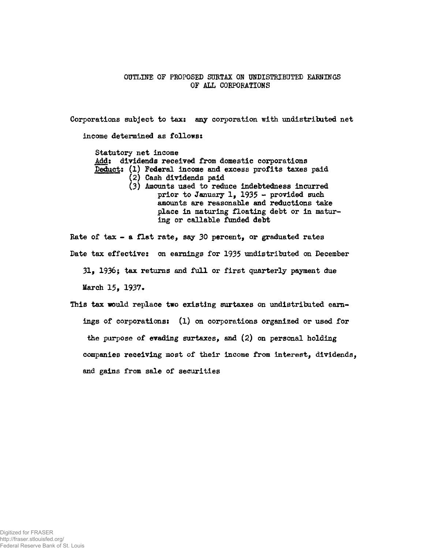## **OUTLINE OF PROPOSED SURTAX ON UNDISTRIBUTED EARNINGS OF ALL CORPORATIONS**

**Corporations subject to tax: any corporation with undistributed net income determined as follows: Statutory net income Add: dividends received from domestic corporations Deduct: (1) Federal income and excess profits taxes paid (2) Cash dividends paid (3) Amounts used to reduce indebtedness incurred prior to January 1, 1935 - provided such amounts are reasonable and reductions take place in maturing floating debt or in maturing or callable funded debt Rate of tax - a flat rate, say 30 percent, or graduated rates** 

**Date tax effective: on earnings for 1935 undistributed on December** 

**31, 1936; tax returns and full or first quarterly payment due March 15, 1937.** 

**This tax would replace two existing surtaxes on undistributed earnings of corporations: (1) on corporations organized or used for the purpose of evading surtaxes, and (2) on personal holding companies receiving most of their income from interest, dividends, and gains from sale of securities**